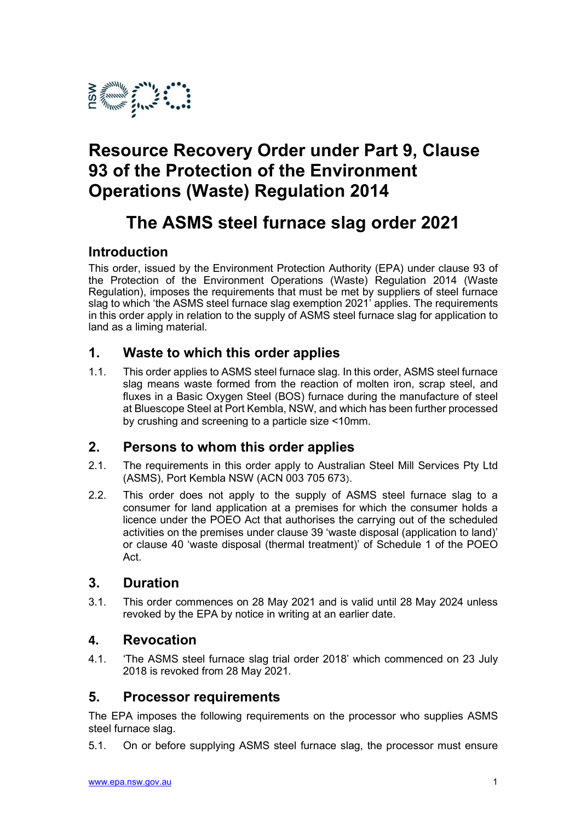

# Resource Recovery Order under Part 9, Clause 93 of the Protection of the Environment Operations (Waste) Regulation 2014

# The ASMS steel furnace slag order 2021

## Introduction

This order, issued by the Environment Protection Authority (EPA) under clause 93 of the Protection of the Environment Operations (Waste) Regulation 2014 (Waste Regulation), imposes the requirements that must be met by suppliers of steel furnace slag to which 'the ASMS steel furnace slag exemption 2021' applies. The requirements in this order apply in relation to the supply of ASMS steel furnace slag for application to land as a liming material.

## 1. Waste to which this order applies

1.1. This order applies to ASMS steel furnace slag. In this order, ASMS steel furnace slag means waste formed from the reaction of molten iron, scrap steel, and fluxes in a Basic Oxygen Steel (BOS) furnace during the manufacture of steel at Bluescope Steel at Port Kembla, NSW, and which has been further processed by crushing and screening to a particle size <10mm.

## 2. Persons to whom this order applies

- 2.1. The requirements in this order apply to Australian Steel Mill Services Pty Ltd (ASMS), Port Kembla NSW (ACN 003 705 673).
- 2.2. This order does not apply to the supply of ASMS steel furnace slag to a consumer for land application at a premises for which the consumer holds a licence under the POEO Act that authorises the carrying out of the scheduled activities on the premises under clause 39 'waste disposal (application to land)' or clause 40 'waste disposal (thermal treatment)' of Schedule 1 of the POEO Act.

## 3. Duration

3.1. This order commences on 28 May 2021 and is valid until 28 May 2024 unless revoked by the EPA by notice in writing at an earlier date.

## 4. Revocation

4.1. 'The ASMS steel furnace slag trial order 2018' which commenced on 23 July 2018 is revoked from 28 May 2021.

## 5. Processor requirements

The EPA imposes the following requirements on the processor who supplies ASMS steel furnace slag.

5.1. On or before supplying ASMS steel furnace slag, the processor must ensure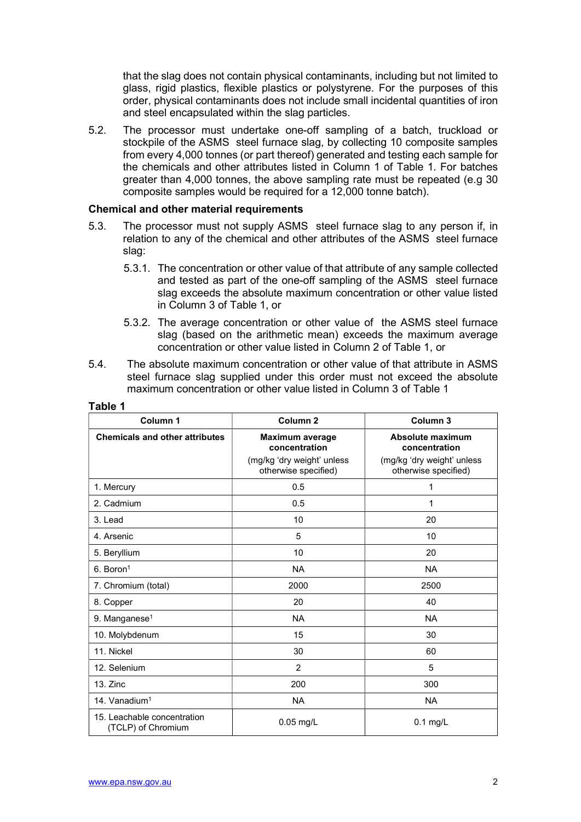that the slag does not contain physical contaminants, including but not limited to glass, rigid plastics, flexible plastics or polystyrene. For the purposes of this order, physical contaminants does not include small incidental quantities of iron and steel encapsulated within the slag particles.

5.2. The processor must undertake one-off sampling of a batch, truckload or stockpile of the ASMS steel furnace slag, by collecting 10 composite samples from every 4,000 tonnes (or part thereof) generated and testing each sample for the chemicals and other attributes listed in Column 1 of Table 1. For batches greater than 4,000 tonnes, the above sampling rate must be repeated (e.g 30 composite samples would be required for a 12,000 tonne batch).

#### Chemical and other material requirements

- 5.3. The processor must not supply ASMS steel furnace slag to any person if, in relation to any of the chemical and other attributes of the ASMS steel furnace slag:
	- 5.3.1. The concentration or other value of that attribute of any sample collected and tested as part of the one-off sampling of the ASMS steel furnace slag exceeds the absolute maximum concentration or other value listed in Column 3 of Table 1, or
	- 5.3.2. The average concentration or other value of the ASMS steel furnace slag (based on the arithmetic mean) exceeds the maximum average concentration or other value listed in Column 2 of Table 1, or
- 5.4. The absolute maximum concentration or other value of that attribute in ASMS steel furnace slag supplied under this order must not exceed the absolute maximum concentration or other value listed in Column 3 of Table 1

| Column 1                                          | Column <sub>2</sub>                                | Column <sub>3</sub>                                |
|---------------------------------------------------|----------------------------------------------------|----------------------------------------------------|
| <b>Chemicals and other attributes</b>             | Maximum average<br>concentration                   | Absolute maximum<br>concentration                  |
|                                                   | (mg/kg 'dry weight' unless<br>otherwise specified) | (mg/kg 'dry weight' unless<br>otherwise specified) |
| 1. Mercury                                        | 0.5                                                | 1                                                  |
| 2. Cadmium                                        | 0.5                                                | 1                                                  |
| 3. Lead                                           | 10                                                 | 20                                                 |
| 4. Arsenic                                        | 5                                                  | 10                                                 |
| 5. Beryllium                                      | 10                                                 | 20                                                 |
| $6.$ Boron <sup>1</sup>                           | <b>NA</b>                                          | <b>NA</b>                                          |
| 7. Chromium (total)                               | 2000                                               | 2500                                               |
| 8. Copper                                         | 20                                                 | 40                                                 |
| 9. Manganese <sup>1</sup>                         | <b>NA</b>                                          | <b>NA</b>                                          |
| 10. Molybdenum                                    | 15                                                 | 30                                                 |
| 11. Nickel                                        | 30                                                 | 60                                                 |
| 12. Selenium                                      | 2                                                  | 5                                                  |
| $13.$ Zinc                                        | 200                                                | 300                                                |
| 14. Vanadium <sup>1</sup>                         | <b>NA</b>                                          | <b>NA</b>                                          |
| 15. Leachable concentration<br>(TCLP) of Chromium | $0.05$ mg/L                                        | $0.1$ mg/L                                         |

#### Table 1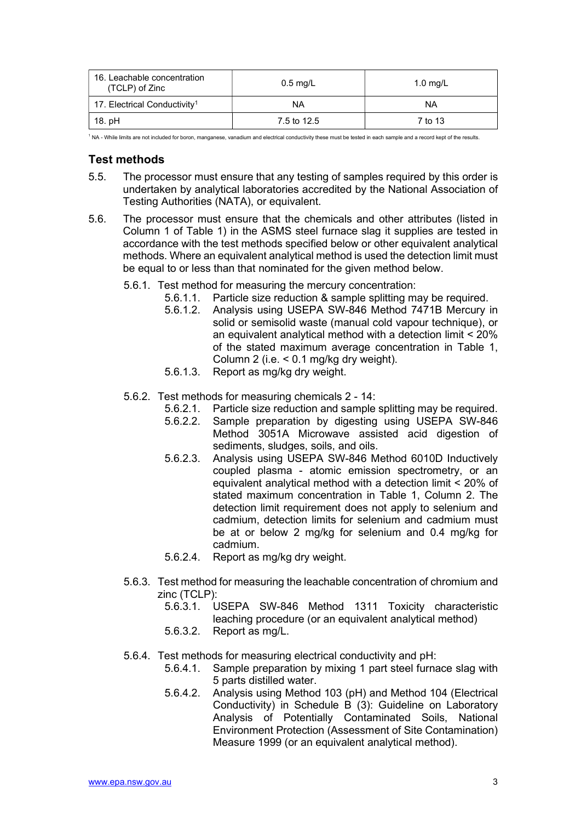| 16. Leachable concentration<br>(TCLP) of Zinc | $0.5 \text{ mg/L}$ | 1.0 $mq/L$ |
|-----------------------------------------------|--------------------|------------|
| 17. Electrical Conductivity <sup>1</sup>      | NA                 | ΝA         |
| 18. pH                                        | 7.5 to 12.5        | 7 to 13    |

<sup>1</sup> NA - While limits are not included for boron, manganese, vanadium and electrical conductivity these must be tested in each sample and a record kept of the results.

## Test methods

- 5.5. The processor must ensure that any testing of samples required by this order is undertaken by analytical laboratories accredited by the National Association of Testing Authorities (NATA), or equivalent.
- 5.6. The processor must ensure that the chemicals and other attributes (listed in Column 1 of Table 1) in the ASMS steel furnace slag it supplies are tested in accordance with the test methods specified below or other equivalent analytical methods. Where an equivalent analytical method is used the detection limit must be equal to or less than that nominated for the given method below.
	- 5.6.1. Test method for measuring the mercury concentration:
		- 5.6.1.1. Particle size reduction & sample splitting may be required.
		- 5.6.1.2. Analysis using USEPA SW-846 Method 7471B Mercury in solid or semisolid waste (manual cold vapour technique), or an equivalent analytical method with a detection limit < 20% of the stated maximum average concentration in Table 1, Column 2 (i.e. < 0.1 mg/kg dry weight).
		- 5.6.1.3. Report as mg/kg dry weight.
	- 5.6.2. Test methods for measuring chemicals 2 14:
		- 5.6.2.1. Particle size reduction and sample splitting may be required.
		- 5.6.2.2. Sample preparation by digesting using USEPA SW-846 Method 3051A Microwave assisted acid digestion of sediments, sludges, soils, and oils.
		- 5.6.2.3. Analysis using USEPA SW-846 Method 6010D Inductively coupled plasma - atomic emission spectrometry, or an equivalent analytical method with a detection limit < 20% of stated maximum concentration in Table 1, Column 2. The detection limit requirement does not apply to selenium and cadmium, detection limits for selenium and cadmium must be at or below 2 mg/kg for selenium and 0.4 mg/kg for cadmium.
		- 5.6.2.4. Report as mg/kg dry weight.
	- 5.6.3. Test method for measuring the leachable concentration of chromium and zinc (TCLP):
		- 5.6.3.1. USEPA SW-846 Method 1311 Toxicity characteristic leaching procedure (or an equivalent analytical method)
		- 5.6.3.2. Report as mg/L.
	- 5.6.4. Test methods for measuring electrical conductivity and pH:
		- 5.6.4.1. Sample preparation by mixing 1 part steel furnace slag with 5 parts distilled water.
		- 5.6.4.2. Analysis using Method 103 (pH) and Method 104 (Electrical Conductivity) in Schedule B (3): Guideline on Laboratory Analysis of Potentially Contaminated Soils, National Environment Protection (Assessment of Site Contamination) Measure 1999 (or an equivalent analytical method).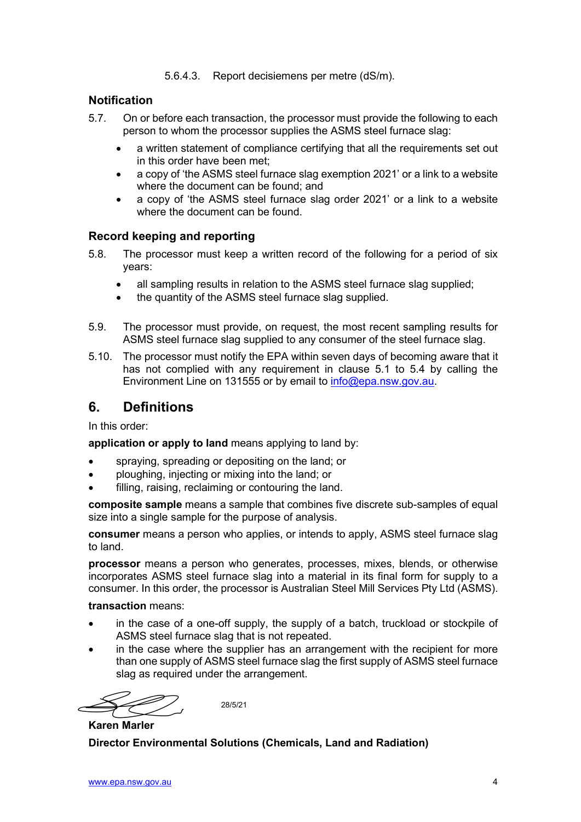5.6.4.3. Report decisiemens per metre (dS/m).

### **Notification**

- 5.7. On or before each transaction, the processor must provide the following to each person to whom the processor supplies the ASMS steel furnace slag:
	- a written statement of compliance certifying that all the requirements set out in this order have been met;
	- a copy of 'the ASMS steel furnace slag exemption 2021' or a link to a website where the document can be found; and
	- a copy of 'the ASMS steel furnace slag order 2021' or a link to a website where the document can be found.

#### Record keeping and reporting

- 5.8. The processor must keep a written record of the following for a period of six years:
	- all sampling results in relation to the ASMS steel furnace slag supplied;
	- the quantity of the ASMS steel furnace slag supplied.
- 5.9. The processor must provide, on request, the most recent sampling results for ASMS steel furnace slag supplied to any consumer of the steel furnace slag.
- 5.10. The processor must notify the EPA within seven days of becoming aware that it has not complied with any requirement in clause 5.1 to 5.4 by calling the Environment Line on 131555 or by email to info@epa.nsw.gov.au.

## 6. Definitions

In this order:

application or apply to land means applying to land by:

- spraying, spreading or depositing on the land; or
- ploughing, injecting or mixing into the land; or
- **•** filling, raising, reclaiming or contouring the land.

composite sample means a sample that combines five discrete sub-samples of equal size into a single sample for the purpose of analysis.

consumer means a person who applies, or intends to apply, ASMS steel furnace slag to land.

processor means a person who generates, processes, mixes, blends, or otherwise incorporates ASMS steel furnace slag into a material in its final form for supply to a consumer. In this order, the processor is Australian Steel Mill Services Pty Ltd (ASMS).

#### transaction means:

- in the case of a one-off supply, the supply of a batch, truckload or stockpile of ASMS steel furnace slag that is not repeated.
- in the case where the supplier has an arrangement with the recipient for more than one supply of ASMS steel furnace slag the first supply of ASMS steel furnace slag as required under the arrangement.

28/5/21

Karen Marler

Director Environmental Solutions (Chemicals, Land and Radiation)